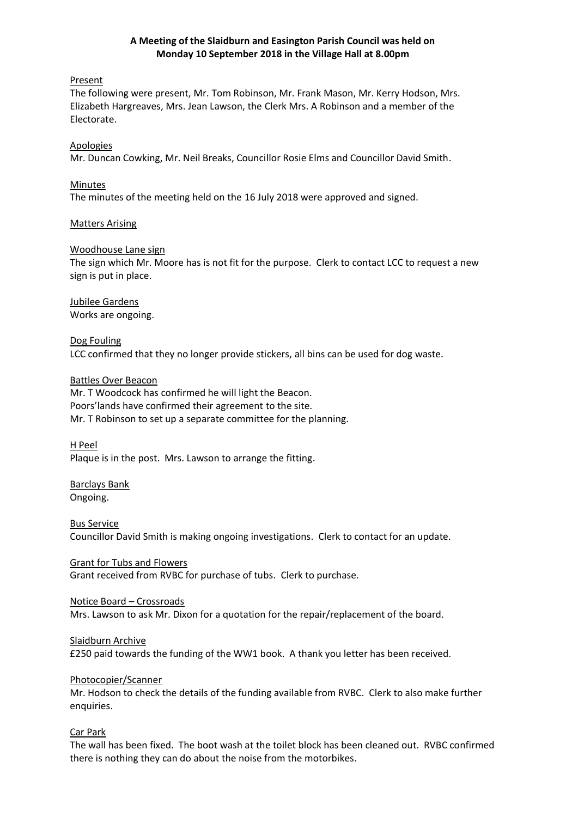# **A Meeting of the Slaidburn and Easington Parish Council was held on Monday 10 September 2018 in the Village Hall at 8.00pm**

# Present

The following were present, Mr. Tom Robinson, Mr. Frank Mason, Mr. Kerry Hodson, Mrs. Elizabeth Hargreaves, Mrs. Jean Lawson, the Clerk Mrs. A Robinson and a member of the Electorate.

# Apologies

Mr. Duncan Cowking, Mr. Neil Breaks, Councillor Rosie Elms and Councillor David Smith.

# Minutes

The minutes of the meeting held on the 16 July 2018 were approved and signed.

# Matters Arising

# Woodhouse Lane sign

The sign which Mr. Moore has is not fit for the purpose. Clerk to contact LCC to request a new sign is put in place.

Jubilee Gardens Works are ongoing.

# Dog Fouling

LCC confirmed that they no longer provide stickers, all bins can be used for dog waste.

# Battles Over Beacon

Mr. T Woodcock has confirmed he will light the Beacon. Poors'lands have confirmed their agreement to the site. Mr. T Robinson to set up a separate committee for the planning.

## H Peel

Plaque is in the post. Mrs. Lawson to arrange the fitting.

# Barclays Bank Ongoing.

Bus Service Councillor David Smith is making ongoing investigations. Clerk to contact for an update.

# Grant for Tubs and Flowers

Grant received from RVBC for purchase of tubs. Clerk to purchase.

## Notice Board – Crossroads

Mrs. Lawson to ask Mr. Dixon for a quotation for the repair/replacement of the board.

## Slaidburn Archive

£250 paid towards the funding of the WW1 book. A thank you letter has been received.

## Photocopier/Scanner

Mr. Hodson to check the details of the funding available from RVBC. Clerk to also make further enquiries.

# Car Park

The wall has been fixed. The boot wash at the toilet block has been cleaned out. RVBC confirmed there is nothing they can do about the noise from the motorbikes.